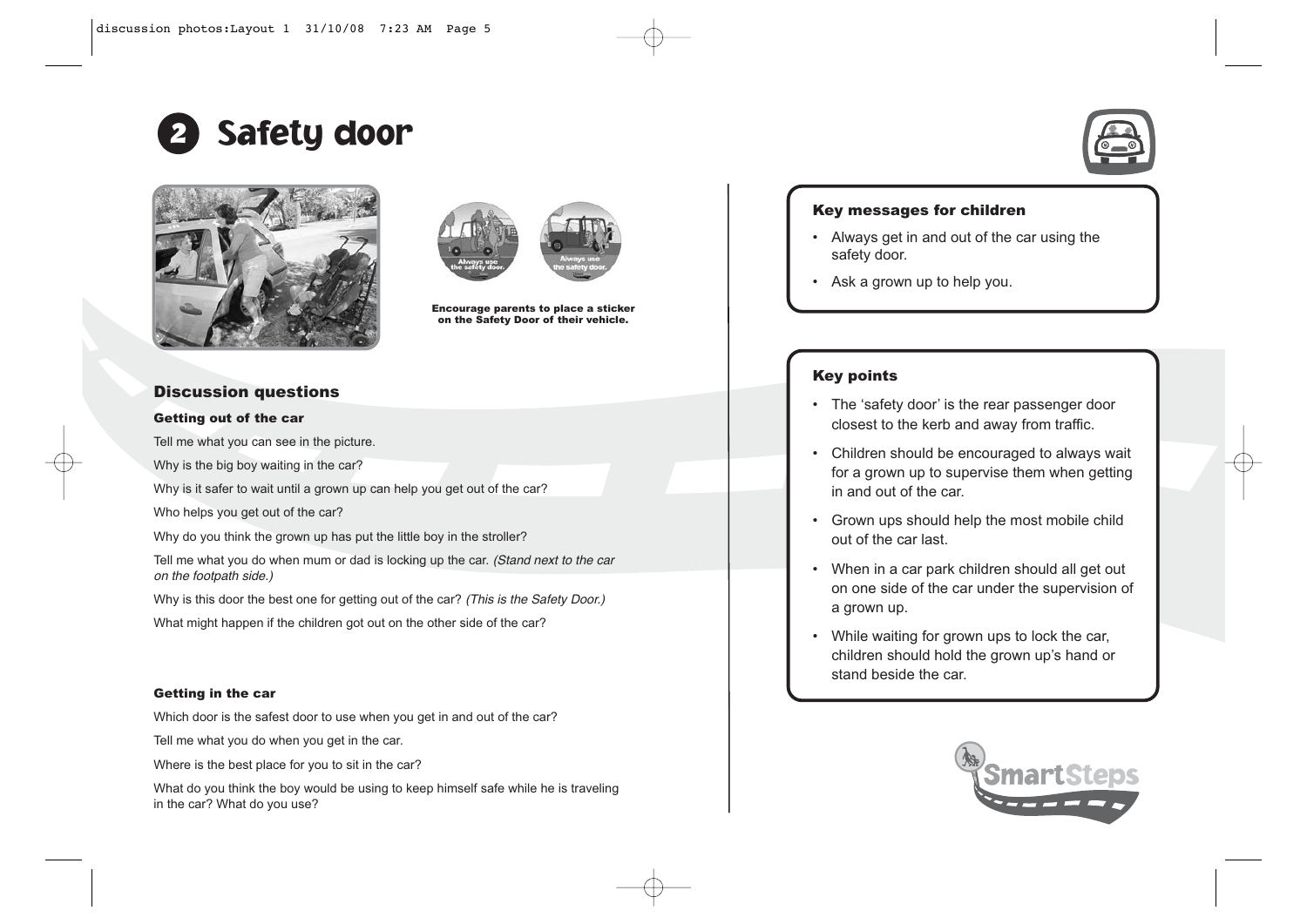





Encourage parents to place a sticker on the Safety Door of their vehicle.

# Discussion questions

### Getting out of the car

Tell me what you can see in the picture.

Why is the big boy waiting in the car?

Why is it safer to wait until a grown up can help you get out of the car?

Who helps you get out of the car?

Why do you think the grown up has put the little boy in the stroller?

Tell me what you do when mum or dad is locking up the car. (Stand next to the car on the footpath side.)

Why is this door the best one for getting out of the car? (This is the Safety Door.)

What might happen if the children got out on the other side of the car?

#### Getting in the car

Which door is the safest door to use when you get in and out of the car?

Tell me what you do when you get in the car.

Where is the best place for you to sit in the car?

What do you think the boy would be using to keep himself safe while he is traveling in the car? What do you use?



## Key messages for children

- Always get in and out of the car using the safety door.
- Ask a grown up to help you.

# Key points

- The 'safety door' is the rear passenger door closest to the kerb and away from traffic.
- Children should be encouraged to always wait for a grown up to supervise them when getting in and out of the car.
- Grown ups should help the most mobile child out of the car last.
- • When in a car park children should all get out on one side of the car under the supervision of a grown up.
- While waiting for grown ups to lock the car, children should hold the grown up's hand or stand beside the car.